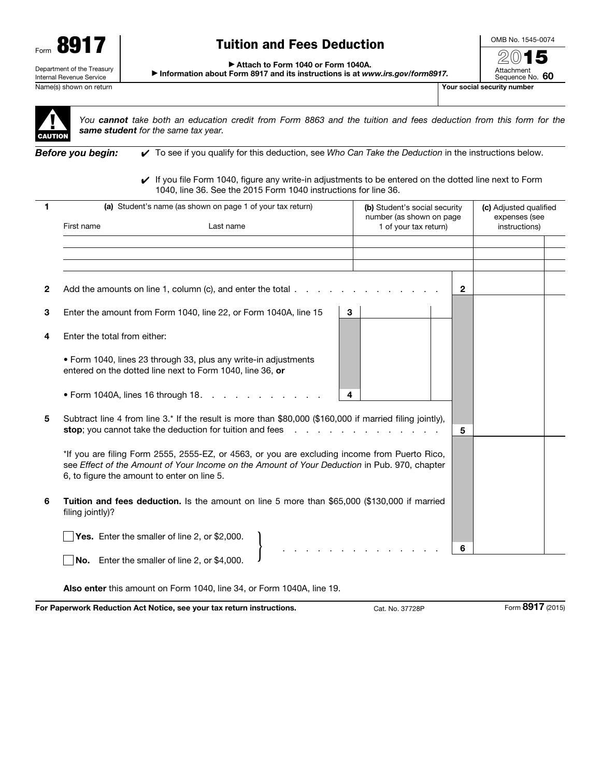

## Tuition and Fees Deduction

OMB No. 1545-0074 2015

Attachment Sequence No. 60

▶ Attach to Form 1040 or Form 1040A.

▶ Information about Form 8917 and its instructions is at *www.irs.gov/form8917.*

Name(s) shown on return The Contract of the Contract of the Contract of the Contract of the Contract of the Contract of The Contract of The Contract of The Contract of The Contract of The Contract of The Contract of The Co



*You cannot take both an education credit from Form 8863 and the tuition and fees deduction from this form for the same student for the same tax year.*

*Before you begin:* ✔ To see if you qualify for this deduction, see *Who Can Take the Deduction* in the instructions below.

✔ If you file Form 1040, figure any write-in adjustments to be entered on the dotted line next to Form 1040, line 36. See the 2015 Form 1040 instructions for line 36.

| 1            | (a) Student's name (as shown on page 1 of your tax return)<br>First name<br>Last name                                                                                                                                                                                                                                                                                                                                     | (b) Student's social security<br>number (as shown on page<br>1 of your tax return) | (c) Adjusted qualified<br>expenses (see<br>instructions) |
|--------------|---------------------------------------------------------------------------------------------------------------------------------------------------------------------------------------------------------------------------------------------------------------------------------------------------------------------------------------------------------------------------------------------------------------------------|------------------------------------------------------------------------------------|----------------------------------------------------------|
|              |                                                                                                                                                                                                                                                                                                                                                                                                                           |                                                                                    |                                                          |
|              |                                                                                                                                                                                                                                                                                                                                                                                                                           |                                                                                    |                                                          |
|              |                                                                                                                                                                                                                                                                                                                                                                                                                           |                                                                                    |                                                          |
| $\mathbf{2}$ | Add the amounts on line 1, column (c), and enter the total $\ldots$                                                                                                                                                                                                                                                                                                                                                       | $\mathbf{2}$                                                                       |                                                          |
| 3            | Enter the amount from Form 1040, line 22, or Form 1040A, line 15                                                                                                                                                                                                                                                                                                                                                          | 3                                                                                  |                                                          |
| 4            | Enter the total from either:                                                                                                                                                                                                                                                                                                                                                                                              |                                                                                    |                                                          |
|              | • Form 1040, lines 23 through 33, plus any write-in adjustments<br>entered on the dotted line next to Form 1040, line 36, or                                                                                                                                                                                                                                                                                              |                                                                                    |                                                          |
|              | • Form 1040A, lines 16 through 18.                                                                                                                                                                                                                                                                                                                                                                                        | 4                                                                                  |                                                          |
| 5            | Subtract line 4 from line 3.* If the result is more than \$80,000 (\$160,000 if married filing jointly),<br>stop; you cannot take the deduction for tuition and fees<br>5<br>*If you are filing Form 2555, 2555-EZ, or 4563, or you are excluding income from Puerto Rico,<br>see Effect of the Amount of Your Income on the Amount of Your Deduction in Pub. 970, chapter<br>6, to figure the amount to enter on line 5. |                                                                                    |                                                          |
|              |                                                                                                                                                                                                                                                                                                                                                                                                                           |                                                                                    |                                                          |
| 6            | Tuition and fees deduction. Is the amount on line 5 more than \$65,000 (\$130,000 if married<br>filing jointly)?                                                                                                                                                                                                                                                                                                          |                                                                                    |                                                          |
|              | Yes. Enter the smaller of line 2, or \$2,000.                                                                                                                                                                                                                                                                                                                                                                             | 6                                                                                  |                                                          |
|              | No. Enter the smaller of line 2, or \$4,000.                                                                                                                                                                                                                                                                                                                                                                              |                                                                                    |                                                          |

Also enter this amount on Form 1040, line 34, or Form 1040A, line 19.

For Paperwork Reduction Act Notice, see your tax return instructions. Cat. No. 37728P Form 8917 (2015)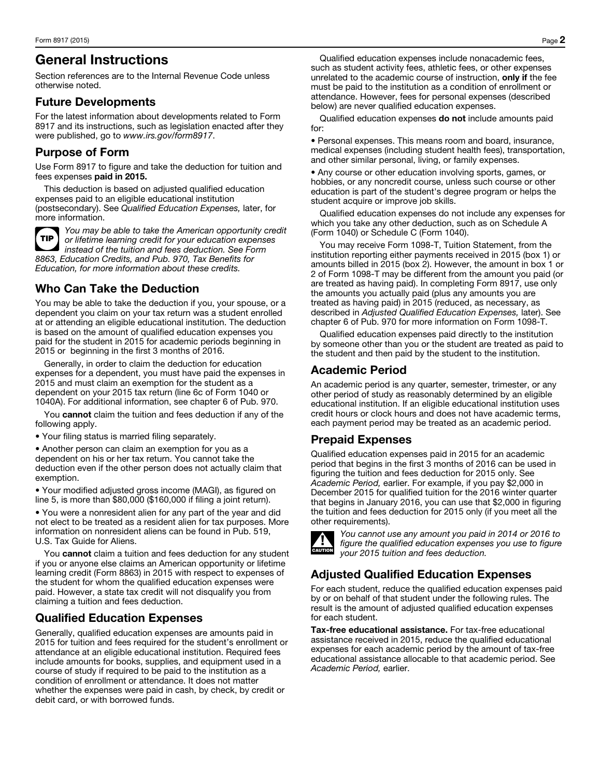## General Instructions

Section references are to the Internal Revenue Code unless otherwise noted.

#### Future Developments

For the latest information about developments related to Form 8917 and its instructions, such as legislation enacted after they were published, go to *www.irs.gov/form8917*.

#### Purpose of Form

Use Form 8917 to figure and take the deduction for tuition and fees expenses paid in 2015.

This deduction is based on adjusted qualified education expenses paid to an eligible educational institution (postsecondary). See *Qualified Education Expenses,* later, for more information.



*You may be able to take the American opportunity credit or lifetime learning credit for your education expenses instead of the tuition and fees deduction. See Form 8863, Education Credits, and Pub. 970, Tax Benefits for Education, for more information about these credits.*

### Who Can Take the Deduction

You may be able to take the deduction if you, your spouse, or a dependent you claim on your tax return was a student enrolled at or attending an eligible educational institution. The deduction is based on the amount of qualified education expenses you paid for the student in 2015 for academic periods beginning in 2015 or beginning in the first 3 months of 2016.

Generally, in order to claim the deduction for education expenses for a dependent, you must have paid the expenses in 2015 and must claim an exemption for the student as a dependent on your 2015 tax return (line 6c of Form 1040 or 1040A). For additional information, see chapter 6 of Pub. 970.

You cannot claim the tuition and fees deduction if any of the following apply.

• Your filing status is married filing separately.

• Another person can claim an exemption for you as a dependent on his or her tax return. You cannot take the deduction even if the other person does not actually claim that exemption.

• Your modified adjusted gross income (MAGI), as figured on line 5, is more than \$80,000 (\$160,000 if filing a joint return).

• You were a nonresident alien for any part of the year and did not elect to be treated as a resident alien for tax purposes. More information on nonresident aliens can be found in Pub. 519, U.S. Tax Guide for Aliens.

You cannot claim a tuition and fees deduction for any student if you or anyone else claims an American opportunity or lifetime learning credit (Form 8863) in 2015 with respect to expenses of the student for whom the qualified education expenses were paid. However, a state tax credit will not disqualify you from claiming a tuition and fees deduction.

#### Qualified Education Expenses

Generally, qualified education expenses are amounts paid in 2015 for tuition and fees required for the student's enrollment or attendance at an eligible educational institution. Required fees include amounts for books, supplies, and equipment used in a course of study if required to be paid to the institution as a condition of enrollment or attendance. It does not matter whether the expenses were paid in cash, by check, by credit or debit card, or with borrowed funds.

Qualified education expenses include nonacademic fees, such as student activity fees, athletic fees, or other expenses unrelated to the academic course of instruction, only if the fee must be paid to the institution as a condition of enrollment or attendance. However, fees for personal expenses (described below) are never qualified education expenses.

Qualified education expenses do not include amounts paid for:

• Personal expenses. This means room and board, insurance, medical expenses (including student health fees), transportation, and other similar personal, living, or family expenses.

• Any course or other education involving sports, games, or hobbies, or any noncredit course, unless such course or other education is part of the student's degree program or helps the student acquire or improve job skills.

Qualified education expenses do not include any expenses for which you take any other deduction, such as on Schedule A (Form 1040) or Schedule C (Form 1040).

You may receive Form 1098-T, Tuition Statement, from the institution reporting either payments received in 2015 (box 1) or amounts billed in 2015 (box 2). However, the amount in box 1 or 2 of Form 1098-T may be different from the amount you paid (or are treated as having paid). In completing Form 8917, use only the amounts you actually paid (plus any amounts you are treated as having paid) in 2015 (reduced, as necessary, as described in *Adjusted Qualified Education Expenses,* later). See chapter 6 of Pub. 970 for more information on Form 1098-T.

Qualified education expenses paid directly to the institution by someone other than you or the student are treated as paid to the student and then paid by the student to the institution.

#### Academic Period

An academic period is any quarter, semester, trimester, or any other period of study as reasonably determined by an eligible educational institution. If an eligible educational institution uses credit hours or clock hours and does not have academic terms, each payment period may be treated as an academic period.

#### Prepaid Expenses

Qualified education expenses paid in 2015 for an academic period that begins in the first 3 months of 2016 can be used in figuring the tuition and fees deduction for 2015 only. See *Academic Period,* earlier. For example, if you pay \$2,000 in December 2015 for qualified tuition for the 2016 winter quarter that begins in January 2016, you can use that \$2,000 in figuring the tuition and fees deduction for 2015 only (if you meet all the other requirements).



*You cannot use any amount you paid in 2014 or 2016 to figure the qualified education expenses you use to figure your 2015 tuition and fees deduction.*

## Adjusted Qualified Education Expenses

For each student, reduce the qualified education expenses paid by or on behalf of that student under the following rules. The result is the amount of adjusted qualified education expenses for each student.

Tax-free educational assistance. For tax-free educational assistance received in 2015, reduce the qualified educational expenses for each academic period by the amount of tax-free educational assistance allocable to that academic period. See *Academic Period,* earlier.